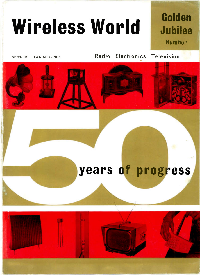# Wireless World

## Golden Jubilee Number

**APRIL 1961 TWO SHILLINGS** 

Radio Electronics Television



## years of progress

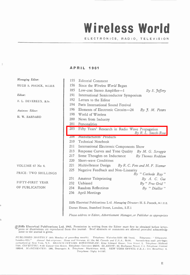## Wireless World

#### ELECTRONICS, RADIO, TELEVISION

#### AP RIL 1961

Managing Editor: HIGH S. POCOCK, m.I.E.E Editor: F. L. DEVEREUX, E.se. Assistani Editor: R. W. BARNARD VOLUME 67 No 4. PRICE: TWO SHILLINGS FIFTY-FIRST YEAR OF PUBLICATION 155 Editorial Comment 156 Since the Wireless World Began 185 Low-cost Stereo Amplifier--1 By E. Jeffery 191 International Semiconductor Symposium 192 Letters to the Editor 194 Paris International Sound Festival 196 Elements of Electronic Circuits  $-24$  By J. M. Peters 198 World of Wireless 200 News from Industry 201 Personalities 203 Fifty Years' Research in Radio Wave Propagation By R. L. Smith-Rose 208 Manufacturers' Products 210 Technical Notebook 211 International Electronic Components Show 213 Response Curves and Tone Quality By M. G. Scroggie 217 Some Thoughts on Inductance By Thomas Roddam 220 Short-wave Conditions 221 Multivibrator Design 225 Negative Feedback and Non-Linearity 231 Amateur Teleprinting 232 Unbiased 234 Random Reflections 236 April Meetings By R. C. Foss and M. F. Sizmur By "Cathode Ray" By A. C. Gee By " Free Grid" By " Diallist " Ilife Electrical Publications Ltd. Managing Director: H. S. Pocock, m.I.F.E. Dorset House, Stamford Street, London, S.E.1 Please address to Editor, Advertisement Manager, or Publisher as appropriate

ZIlife Electrical Publications Ltd. 1961. Per mission in writing fro m the Editor must first be obtained before letter press or illustrations are reproduced from this journal. Brief abstracts or comments are allowed provided acknowledgment to the journal is given.

ĭ

PUBLISHED MONTHLY (4th Monday of preeeding month). Telephone: Waterloo 3333 (65 lines). Telegrams: " Ethaworld. London-SE1." Annual Sub criptions: Home and Overseas, £1 15s. Od. Canada and U.S.A., \$5.00. Second-class mail privileges authorized at New York, N.Y. BRANCH OFFICES: BIRMINGHAM: King Edward House, New Street, 2. Telephone: Midland 7191. CO*VENTRY:* 8-10 Corpor tion Street. *Telephone:* Coventry 25210. *GLASGOW:* 62, Buchanan Street, C.1, *Telephone:* Central<br>1265-6. *MANCHESTER:* 260, Deansgate, 3. *Telephone:* Blackfriars 4412, NEW YORK OF Telephone: Digby 9-1197.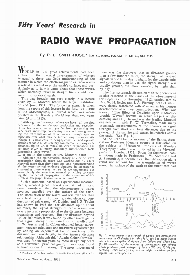### RADIO WAVE PROPAGATION

BY R. L. SMITH-ROSE,\* C.B.E., D.Sc., F.C. G.I., F.I.R.E., M.I.E.E.

HILE in 1911 great achievements had been attained in the practical developments of wireless telegraphy, there was little understanding of the manner in which the electromagnetic or radio waves involved travelled over the earth's surface; and particularly as to how it came about that these waves, which normally travel in straight lines, could bend round the spherical earth.

This was brought out very clearly in a lecture given by G. Marconi before the Royal Institution on 2nd June, 1911. The folowing extract is taken from the report of this lecture in the July, 1911, issue of the Marconigraph, a journal which was incorporated in the Wireless World less than two years later (April, 1913).

"Although we have—or believe we have—all the data necessary for the satisfactory production and reception of electric waves, we are yet far from possessing any very exact knowledge concerning the conditions governing the transmission of these waves through space especially over what may be termed long distances. Although it is now easy to design, construct and operate stations capable of satisfactory commercial working over distances up to 2,500 miles, no clear explanation has yet been given of many absolutely authenticated facts concerning these waves.

Later on in the same lecture, Marconi said:

"Although the mathematical theory of electric wave propagation through space was worked out by Clerk Maxwell more than fifty years ago, and notwithstanding all the experimental evidence obtained in laboratories concerning these waves, yet so far we understand but incompletely the true fundamental principles concerning the manner of propagation of the waves on which wireless telegraph transmission is based."

Such statements, based on experimental measurements, aroused great interest since it had hitherto been considered that the electromagnetic waves involved travelled over the surface of the earth. The attenuation of the waves was less over sea than over land owing to the much greater electrical conductivity of salt water. W. Duddell and J. E. Taylor had shown in 1905 that for distances up to about 60 miles, the signal strength of radio waves was nearly inversely proportional to the distance between transmitter and receiver. But for distances beyond 100 or 200 miles, it was found by other investigators that signal strength decreased more rapidly; and L. W. Austin and L. Cohen obtained better agreement between calculated and measured signal strength by adding an exponential factor, involving both distance and wavelength, to the inverse distance relationship . Although this "Austin-Cohen formula " was used for several years by radio design engineers as a convenient practical guide, it was soon found to have serious limitations. The most important of

• President of the International Scientific Radio Union (U.R.S.I.).

these was the discovery that at distances greater than a few hundred miles, the strength of received signals varied from day to night: for the wavelengths and conditions then in use, the signal strength was usualy greater, but more variable, by night than by day.

The first systematic discussion of th:se phenomena is also recorded in the issues of the Marconigraph for September to November, 1912, particularly by Drs. W. H. Eccles and J. A. Fleming, both of whom were closely associated with Marconi in his pioneer development of wireless communication. What was termed "The Efect of Daylight upon Radiotelegraphic Waves" became an active subject of discussion; and H. J. Round was the leading Marconi engineer who, with K. W. Tremellen, made many systematic measurements of the changes in signal strength over short and long distances due to the passage of the sunrise and sunset boundaries across the path. (See Fig. 1.)

At the 1912 Dundee meeting of the British Association Professor Fleming opened a discussion on the subject of "Unsolved Problems of Wireless Telegraphy," which was published in the Marconigraph for October, 1912. From the theoretical contributions made by Professors J. W. Nicholson and A. Somerfield, it became clear that difraction alone could not account for the transmission of waves round the surface of the earth to the extent that had



Fig. I. Measurements of strength of signals and atmospheric noise mode at Chelmsford in July 1911. (a) The upper curves relate to the reception of signals from Clifden and Glace Bay. (b) Observations of the number of atmospherics per minute which produced peak voltages of 3(L), 6(M) and 12(N) respectively. Note the effect of day and night conditions on both signals and atmospherics.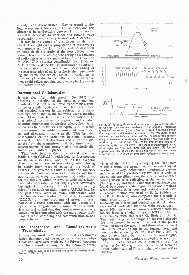already been demonstrated. Having regard to the long waves used, however, 6 km or more, and the diference in conductivity between land and sea, it was still necessary to consider the ground wave propagation phenomena up to moderate distances.

It was in the course of this discussion that the efect of sunlight on the propagation of radio waves was emphasized by Dr. Eccles; and he described in some detail his study of the possibilities of an ionized layer in the atmosphere acting as a reflector of radio waves as first suggested by Oliver Heaviside in 1900. With a further contribution from Professor A. E. Kennelly at the British Association discussion, the foundations were laid of an understanding of the characteristics of an ionospheric shell surrounding the earth and which, subject to variations in time and place due to the influence of solar radiation, could reflect upgoing radio waves back towards the earth's surface.

#### International Collaboration

It was clear from this meeting (in 1912) that progress in investigating the complex phenomena involved could best be achieved by forming a committee or similar body comprising both theoretical and practical workers in the subject. It is therefore significant that in the following year a meeting was held in Brussels to discuss the formation of an international committee to organize and conduct scientific experiments in wireless telegraphy. A reunion was held in Brussels in April, 1914, at which a programme of scientific measurements was drawn up and discussed in some detail. This included observations of the variations in signal strength received in diferent directions and at various distances from the transmitter; and also simultaneous measurements of the strength of atmospheric disturbances in diferent places.

This body became the International Scientific Radio Union (U.R.S.I.), which held its first meeting in Brussels in 1922, and its XIIIth General Assemblyt in London in September, 1960. During its nearly forty years of existence, the work of U.R.S.I. has covered a range of scientific subjects, such as standards of radio measurements and their application to wave propagation and radio noise, for the study of which on a world-wide scale, international co-operation is not only a great advantage, but indeed a necessity. In addition to pursuing scientific research on radio matters, U.R.S.I. has, for the past thirty years or more, colaborated with the International Radio Consultative Committee (C.C.I.R.) on many problems of mutual interest, particularly those concerned with the design and operation of long-distance communication circuits. It is natural to find that this co-operation is actively continuing in connection with the more recent problems of radio astronomy and communication to and from vehicles in space.

#### The Ionosphere and Round-the-world **Transmission**

It was not until 1925 that the first experiments which demonstrated the existence of the Kennelly-Heaviside layer were made by Sir Edward Appleton and his co-workers using the Bournemouth trans-



Fig. 2. (a) Paths of direct and indirect waves from transmitter to receiver; and the measured—or virtual-height of reflection of the indirect wave. (b) Interference fringes in received signal due to ground and ionospheric waves, as the frequency of the transmitter is varied over a small range. The ratio of the number of signal maxima to the change of frequency gives the diference in time of arrival of the two signals, and so the height of reflection of the indirect wave. (c) Echoes of transmitted pulses after reflection from the lower (E) and upper (F) ionized regions: and also of an echo of a pulse which has been twice reflected from F with an intermediate reflection at the ground.

mitter of the B.B.C. By changing the frequency of this station, the strength of the received signal was found to vary, indicating an interference pattern such as would be produced by two sets of arriving waves, one travelling along the ground and another coming down after reflection at the ionized layer. (See Fig. 2 (a) and (b).) Confirmatory evidence was found by comparing the signal variations obtained when receiving on a loop and vertical aerial. An alternative method was used by R. L. Smith-Rose and R. H. Barfield, who compared the strength of signal from a transmitting station received simultaneously on a loop and vertical aerial. All these experiments indicated that the radio waves usedabout 300m in wavelength —were reflected from an ionized layer at a height of about 100 km. Almost concurrently with this work G. Breit and M. A. Tuve used a pulse technique to measure directly the time interval between the arrival of the pulses travelling along the ground and those which arrived later after travelling up to the ionized layer and down to the receiving station. (See Fig. 2 (c).) A year or two later, by using shorter wavelengths, Appleton and his co-workers showed that at certain times the radio waves could penetrate the first reflecting (or E) region and be reflected from an upper region, termed F, at a height of some 400 or 500 km.

t A brief account of this meeting was given in Wireless World, January 1961, p. 10.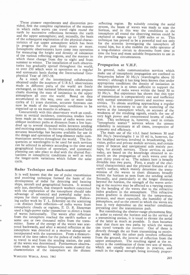These pioneer experiments and discoveries provided, first the complete explanation of the manner in which radio waves can travel right round the earth by successive reflections between the earth and the upper atmosphere; and, secondly, the basis of the subsequent exploration of the physical characteristics of our upper atmosphere which has been in progress for the past thirty years or more. Ionospheric observatories have come into operation for measuring the height and density of ionization of the various reflecting regions, and the manner in which these change from day to night and from summer to winter. The installation of such observatories has gradually spread throughout the world, to over 250 which were in operation on a regular and systematic basis during the International Geophysical Year of 1957-58.

As a result of the international collaboration obtained under the auspices of U.R.S.I. observations made in diferent parts of the world are freely exchanged, so that national laboratories can prepare charts showing the state of ionization in the upper atmosphere all over the world. Based on data accumulated in this way, over one or more solar cycles of 11 years duration, accurate forecasts can now be made of the ionospheric conditions to be expected up to six months in advance.

Concurrently with this observatory work on conditions at vertical incidence, continuous studies have been made on the transmission of radio waves over oblique incidence paths at distances from a few hundred up to several thousand miles between sending and receiving stations. In this way, a detailed and fairly accurate knowledge has become available for use in the design and operation of long-distance radio communication services throughout the world. The frequencies or wavelengths to be used for such services can be selected in advance according to the time and geographical location of operation, and systematic planning can take place to deal with the diurnal fluctuations in ionospheric conditions as well as with the longer-term variations which follow the solar cycle.

#### Radar Technique and Back-scatter

It is well known that the use of pulse transmission and receiving technique formed the basis of the development of radar for detecting and locating ships, aircraft and geographical features. It seemed only just, therefore, that research workers concerned with the exploration of the ionosphere should take advantage of advanced and powerful radar techniques for their continued investigations. Following earlier work by T. L. Eckersley on the scattering —as distinct from reflection —of radio waves from ionospheric clouds or regions, E. D. R. Shearman used a high-power radar transmitter to direct a beam of waves horizontally. The waves after reflection from the ionosphere reached the earth's surface at some one or two thousand miles from the transmitter. Some of the energy of the waves was scattered backwards, and after a second reflection at the ionosphere was detected at a receiver alongside or incorporated with the transmitter. From a measurement of the time taken for the pulses of radio waves to travel to and from the sending station, the path of the waves was determined. Furthermore observations made on various frequencies soon showed the characteristics of the ionosphere at the distant

WIRELESS WORLD, APRIL 1961

reflecting region. By suitably rotating the aerial system, the beam of waves was made to scan the horizon, and in this way the conditions in the ionosphere all round the observing station could be explored at ranges up to 7,000 miles or so. This technique has proved to be a powerful tool not only for the scientist investigating the ionosphere all round him, but it also enables the radio operator of a long-distance circuit to determine from time to time the best and most suitable frequencies to use in the prevailing circumstances.

#### Propagation at V.H.F.

In general, radio communication services which make use of ionospheric propagation are confined to frequencies below 30 Mc/s (wavelengths above 10 metres): although it has long been known that under appropriate conditions the density of ionization in the ionosphere is at times suficient to support the transmission of radio waves within the band 30 to 50 Mc/s. But experience has shown that this type of transmission is comparatively rare and ineficient with normal transmitter powers and receiver sensitivities. To obtain anything approaching a regular service, it is necessary to use the scattering of the waves at the ionosphere which, on account of the weakness of the resulting signals, entails the use of very high power and concentrated beams of radiation. This technique is, however, used in certain "ionospheric scatter" services where the utmost reliability is necessary at all times, irrespective of economy and eficiency.

The main use of the v.h.f. band between 30 and 300 Mc/s (wavelengths 1 to 10 m) is, however, for the localized services involved in broadcasting, television, police and private mobile services, and certain types of beacon and navigational aids mainly perhaps, for aircraft services. These services as used today, are based on the knowledge obtained in research on the propagation of such waves over the past thirty years or so. The subject here is broadly divisible into two parts. First, a study of the electrical characteristics and the physical features of the earth's surface, which mainly determine the transmission of the waves to short distances broadly within the horizon as seen from the sending aerial. Secondly, and particularly at the longer distances beyond the horizon, the strength of the waves arriving at the receiver may be afected to a varying extent by the bending of the waves due to the refractive index gradient in the atmosphere. This refractive index gradient is determined by the temperature, pressure, and more especially, the humidity of the atmosphere, and so the extent to which the waves are bent is very dependent on the weather conditions prevailing over the transmission path.

But considering the shorter-range phenomena first, in order to extend the horizon and so the service of a transmitting station, it is usual to elevate the aerial of the latter as much as possible. It then becomes clear that there are two paths by which the waves can travel towards the receiver. One of these is directly through the air from transmitting to receiving aerial: while the other path involves reflection from the ground, the inverse of reflection from the upper atmosphere. The resulting signal at the receiver is the combination of these two sets of waves, which are usually out-of-phase in practice, and result in the signal strength being inversely propor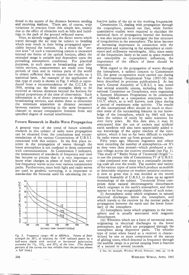tional to the square of the distance between sending and receiving stations. There are, of course, wide variations in practice from this simple law, mainly due to the efect of obstacles such as hills and buildings in the path of the ground reflected waves.

Next, as already suggested, the direct waves which travel through the air may be subject to bending which may result in their being propagated appre-<br>ciably beyond the horizon. As a result the "serciably beyond the horizon. As a result the vice area<sup>"</sup> of such a transmitting station is increased beyond the limits of the optical horizon, albeit the extended range is variable and dependent upon the prevailing atmospheric conditions. For practical purposes, in such cases as broadcasting and television services, measurements are made over long periods of time and in various parts of the world to obtain suficient data to express the results on a statistical basis. An example of the application of this type of study is shown in Fig. 3 which is reproduced from a recommendation of the C.C.I.R. in 1959, setting out the field strengths likely to be received at various distances beyond the horizon for typical proportions of the time of observation. Such information is of direct importance to designers of broadcasting services, and assists them to determine the minimum separation in distance necessary between stations operating in the same frequency channel to secure comparative freedom from any specified degree of mutual interference.

#### Future Research in Radio Wave Propagation

A general view of the trend of future scientific research in this subject of radio wave propagation can be obtained from the conclusions and recommendations of the various Commissions of U.R.S.I. concerned with this subject. In the first place interest in the propagation of waves through the lower atmosphere is not confined to those concerned with communications. As Commission I indicated, the measurement of standards of frequency and time has become so precise that it is very important to know what changes in phase of both low and very low frequency waves occur over various transmission paths. Furthermore, since both light and radio waves are used in geodetic surveying, it is important to standardize the formulæ used for calculating the re-



Fig. 3. Frequency range: 40 to 600Mc/s. Values of fieldstrength for 50% of locations for IkW radiated power by a half-wave dipole with vertical or horizontal polarization<br>exceeded for I%, I0%, and 50% of the time. (The dashed portions of the curves are less reliable than the portions shown .n full lines.)

fractive index of the air at the working frequencies.

Commission II, dealing with propagation through the troposphere, pointed out that, while further quantitative studies were required to elucidate the statistical facts of propagation beyond the horizon, it was also important to investigate the fine structure of irregularities in the atmosphere. The latter become of increasing importance in connection with the absorption and scattering in the atmosphere at centimetre and millimetre wavelengths. Also, since many of the frequencies likely to be used in space research are susceptible to tropospheric influences, the importance of the efects of these should be examined.

With regard to the propagation of waves through the ionosphere, a subject concern to Commission II, the great co-operative work carried out during the International Geophysical Year (1957-58) has been described in previous publications.§ At last year's General Assembly of U.R.S.I. it was noted that several scientific unions, including the International Committee on Geophysics, were organizing a Sunspot Minimum Programme to be conducted during 1964-65 as a companion enterprise to the I.G.Y. which, as is well known, took place during<br>a period of maximum solar activity. The results a period of maximum solar activity. of this international efort should do much to elucidate some of the outstanding features in our knowledge of the ionosphere, which by 1965 will have been the subject of study by radio scientists for over forty years. By this date also, it may be anticipated that the use of rockets and artificial earth satellites will also have appreciably added tc our knowledge of the upper reaches of the ionosphere, which it has so far been difficult to explore by radio waves sent up from ground stations.

Fifty years ago, Marconi engineers and others were recording the number of atmospherics-or X's as they were then termed—which produced a certain voltage across the receiver terminals (see Fig. 1). This study of "Radio Noise of Terrestrial Origin to use the present title of Commission IV of U.R.S.I. —has continued ever since on a continually increasing scale all over the world. The number and variety of the various types of noise which produce an audible or detectable response on modern sensitive receivers is now so great that it was decided at the recent General Assembly of U.R.S.I. to draw up an agreed terminology of the subject. Terrestrial Noise comprises those natural electromagnetic disturbances which originate in the earth's atmosphere, and there appear to be four recognizable classes of such noise:

(i) Atmospheric noise which originates in natural electrical discharges below the ionosphere, and which travels to the receiver by the normal paths of propagation between the earth and the lower boundary of the ionosphere.

(i) Ionospheric noise which originates in the ionosphere and is usually associated with magnetic disturbances.

(ii) Whistlers which are a form of terrestrial noise, originating in electrical discharges in the lower atmosphere, and which are propagated through the ionosphere along dispersive paths. The whistler type of noise when heard at a receiver is characterized by one or more components of the nature of gliding tones, which descend in frequency through the audible range in a period ranging from a fraction of a second to several seconds.

S See, for example, Wireless World, February 1960, pp. 52-58.